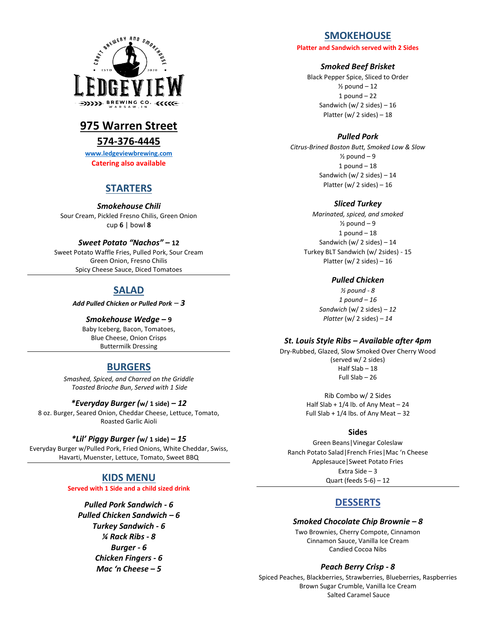

# **975 Warren Street**

# **574-376-4445**

**[www.ledgeviewbrewing.com](http://www.ledgeviewbrewing.com/) Catering also available**

# **STARTERS**

*Smokehouse Chili*

Sour Cream, Pickled Fresno Chilis, Green Onion cup **6** | bowl **8**

## *Sweet Potato "Nachos" –* **12**

Sweet Potato Waffle Fries, Pulled Pork, Sour Cream Green Onion, Fresno Chilis Spicy Cheese Sauce, Diced Tomatoes

# **SALAD**

*Add Pulled Chicken or Pulled Pork – 3*

## *Smokehouse Wedge –* **9**

Baby Iceberg, Bacon, Tomatoes, Blue Cheese, Onion Crisps Buttermilk Dressing

# **BURGERS**

*Smashed, Spiced, and Charred on the Griddle Toasted Brioche Bun, Served with 1 Side*

## *\*Everyday Burger (***w/ 1 side)** *– 12*

8 oz. Burger, Seared Onion, Cheddar Cheese, Lettuce, Tomato, Roasted Garlic Aioli

## *\*Lil' Piggy Burger (***w/ 1 side)** *– 15*

Everyday Burger w/Pulled Pork, Fried Onions, White Cheddar, Swiss, Havarti, Muenster, Lettuce, Tomato, Sweet BBQ

# **KIDS MENU**

**Served with 1 Side and a child sized drink**

*Pulled Pork Sandwich - 6 Pulled Chicken Sandwich – 6 Turkey Sandwich - 6 ¼ Rack Ribs - 8 Burger - 6 Chicken Fingers - 6 Mac 'n Cheese – 5*

# **SMOKEHOUSE**

**Platter and Sandwich served with 2 Sides**

#### *Smoked Beef Brisket*

Black Pepper Spice, Sliced to Order  $\frac{1}{2}$  pound  $-12$ 1 pound  $-22$ Sandwich (w/ 2 sides)  $-16$ Platter (w/ 2 sides)  $-18$ 

## *Pulled Pork*

*Citrus-Brined Boston Butt, Smoked Low & Slow*  $\frac{1}{2}$  pound  $-9$  $1$  pound  $-18$ Sandwich (w/ 2 sides)  $-14$ Platter (w/ 2 sides) – 16

## *Sliced Turkey*

*Marinated, spiced, and smoked*  $\frac{1}{2}$  pound  $-9$  $1$  pound  $-18$ Sandwich (w/ 2 sides)  $-14$ Turkey BLT Sandwich (w/ 2sides) - 15 Platter (w/ 2 sides) – 16

## *Pulled Chicken*

*½ pound - 8 1 pound – 16 Sandwich* (w/ 2 sides) *– 12 Platter* (w/ 2 sides) *– 14*

## *St. Louis Style Ribs – Available after 4pm*

Dry-Rubbed, Glazed, Slow Smoked Over Cherry Wood (served w/ 2 sides) Half Slab – 18 Full Slab – 26

> Rib Combo w/ 2 Sides Half Slab +  $1/4$  lb. of Any Meat - 24 Full Slab +  $1/4$  lbs. of Any Meat - 32

## **Sides**

Green Beans|Vinegar Coleslaw Ranch Potato Salad|French Fries|Mac 'n Cheese Applesauce|Sweet Potato Fries Extra Side – 3 Quart (feeds  $5-6$ ) – 12

# **DESSERTS**

## *Smoked Chocolate Chip Brownie – 8*

Two Brownies, Cherry Compote, Cinnamon Cinnamon Sauce, Vanilla Ice Cream Candied Cocoa Nibs

#### *Peach Berry Crisp - 8*

Spiced Peaches, Blackberries, Strawberries, Blueberries, Raspberries Brown Sugar Crumble, Vanilla Ice Cream Salted Caramel Sauce